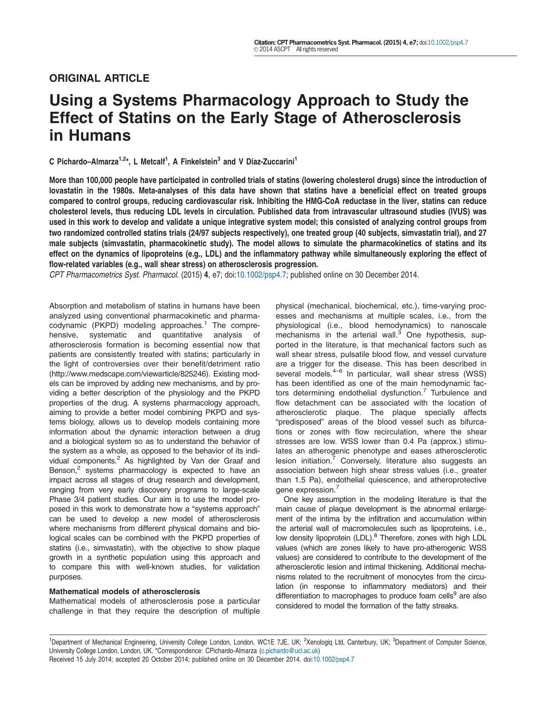# ORIGINAL ARTICLE

# Using a Systems Pharmacology Approach to Study the Effect of Statins on the Early Stage of Atherosclerosis in Humans

C Pichardo-Almarza<sup>1,2\*</sup>, L Metcalf<sup>1</sup>, A Finkelstein<sup>3</sup> and V Diaz-Zuccarini<sup>1</sup>

More than 100,000 people have participated in controlled trials of statins (lowering cholesterol drugs) since the introduction of lovastatin in the 1980s. Meta-analyses of this data have shown that statins have a beneficial effect on treated groups compared to control groups, reducing cardiovascular risk. Inhibiting the HMG-CoA reductase in the liver, statins can reduce cholesterol levels, thus reducing LDL levels in circulation. Published data from intravascular ultrasound studies (IVUS) was used in this work to develop and validate a unique integrative system model; this consisted of analyzing control groups from two randomized controlled statins trials (24/97 subjects respectively), one treated group (40 subjects, simvastatin trial), and 27 male subjects (simvastatin, pharmacokinetic study). The model allows to simulate the pharmacokinetics of statins and its effect on the dynamics of lipoproteins (e.g., LDL) and the inflammatory pathway while simultaneously exploring the effect of flow-related variables (e.g., wall shear stress) on atherosclerosis progression.

CPT Pharmacometrics Syst. Pharmacol. (2015) 4, e7; doi:10.1002/psp4.7; published online on 30 December 2014.

Absorption and metabolism of statins in humans have been analyzed using conventional pharmacokinetic and pharmacodynamic (PKPD) modeling approaches.<sup>1</sup> The comprehensive, systematic and quantitative analysis of atherosclerosis formation is becoming essential now that patients are consistently treated with statins; particularly in the light of controversies over their benefit/detriment ratio [\(http://www.medscape.com/viewarticle/825246](http://www.medscape.com/viewarticle/825246)). Existing models can be improved by adding new mechanisms, and by providing a better description of the physiology and the PKPD properties of the drug. A systems pharmacology approach, aiming to provide a better model combining PKPD and systems biology, allows us to develop models containing more information about the dynamic interaction between a drug and a biological system so as to understand the behavior of the system as a whole, as opposed to the behavior of its individual components.<sup>2</sup> As highlighted by Van der Graaf and Benson, $2$  systems pharmacology is expected to have an impact across all stages of drug research and development, ranging from very early discovery programs to large-scale Phase 3/4 patient studies. Our aim is to use the model proposed in this work to demonstrate how a "systems approach" can be used to develop a new model of atherosclerosis where mechanisms from different physical domains and biological scales can be combined with the PKPD properties of statins (i.e., simvastatin), with the objective to show plaque growth in a synthetic population using this approach and to compare this with well-known studies, for validation purposes.

#### Mathematical models of atherosclerosis

Mathematical models of atherosclerosis pose a particular challenge in that they require the description of multiple physical (mechanical, biochemical, etc.), time-varying processes and mechanisms at multiple scales, i.e., from the physiological (i.e., blood hemodynamics) to nanoscale mechanisms in the arterial wall. $3$  One hypothesis, supported in the literature, is that mechanical factors such as wall shear stress, pulsatile blood flow, and vessel curvature are a trigger for the disease. This has been described in several models. $4-6$  In particular, wall shear stress (WSS) has been identified as one of the main hemodynamic factors determining endothelial dysfunction.<sup>7</sup> Turbulence and flow detachment can be associated with the location of atherosclerotic plaque. The plaque specially affects "predisposed" areas of the blood vessel such as bifurcations or zones with flow recirculation, where the shear stresses are low. WSS lower than 0.4 Pa (approx.) stimulates an atherogenic phenotype and eases atherosclerotic lesion initiation. $\frac{7}{7}$  Conversely, literature also suggests an association between high shear stress values (i.e., greater than 1.5 Pa), endothelial quiescence, and atheroprotective gene expression.<sup>7</sup>

One key assumption in the modeling literature is that the main cause of plaque development is the abnormal enlargement of the intima by the infiltration and accumulation within the arterial wall of macromolecules such as lipoproteins, i.e., low density lipoprotein (LDL).<sup>8</sup> Therefore, zones with high LDL values (which are zones likely to have pro-atherogenic WSS values) are considered to contribute to the development of the atherosclerotic lesion and intimal thickening. Additional mechanisms related to the recruitment of monocytes from the circulation (in response to inflammatory mediators) and their differentiation to macrophages to produce foam cells $9$  are also considered to model the formation of the fatty streaks.

<sup>1</sup>Department of Mechanical Engineering, University College London, London, WC1E 7JE, UK; <sup>2</sup>Xenologiq Ltd, Canterbury, UK; <sup>3</sup>Department of Computer Science, University College London, London, UK. \*Correspondence: CPichardo-Almarza (c.pichardo@ucl.ac.uk) Received 15 July 2014; accepted 20 October 2014; published online on 30 December 2014. doi:10.1002/psp4.7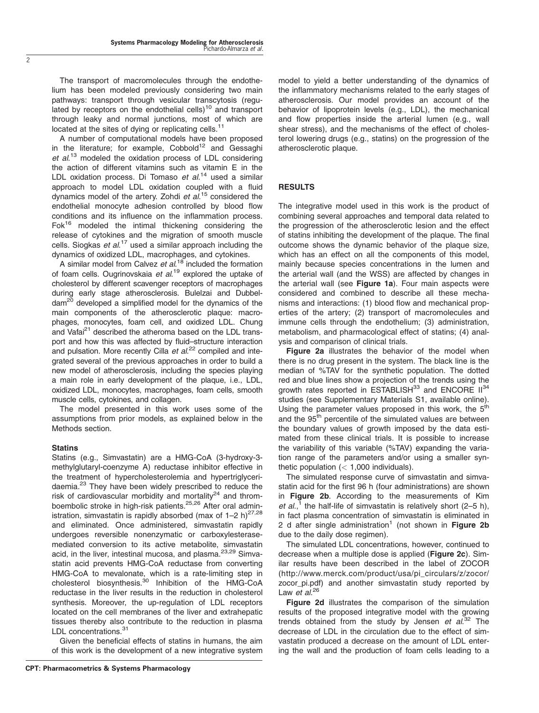The transport of macromolecules through the endothelium has been modeled previously considering two main pathways: transport through vesicular transcytosis (regulated by receptors on the endothelial cells) $10$  and transport through leaky and normal junctions, most of which are located at the sites of dying or replicating cells.<sup>11</sup>

A number of computational models have been proposed in the literature; for example,  $Cobbold^{12}$  and Gessaghi et al.<sup>13</sup> modeled the oxidation process of LDL considering the action of different vitamins such as vitamin E in the LDL oxidation process. Di Tomaso et al.<sup>14</sup> used a similar approach to model LDL oxidation coupled with a fluid dynamics model of the artery. Zohdi et al.<sup>15</sup> considered the endothelial monocyte adhesion controlled by blood flow conditions and its influence on the inflammation process. Fok<sup>16</sup> modeled the intimal thickening considering the release of cytokines and the migration of smooth muscle cells. Siogkas et al.<sup>17</sup> used a similar approach including the dynamics of oxidized LDL, macrophages, and cytokines.

A similar model from Calvez et al.<sup>18</sup> included the formation of foam cells. Ougrinovskaia et al.<sup>19</sup> explored the uptake of cholesterol by different scavenger receptors of macrophages during early stage atherosclerosis. Bulelzai and Dubbel- $\text{dam}^{20}$  developed a simplified model for the dynamics of the main components of the atherosclerotic plaque: macrophages, monocytes, foam cell, and oxidized LDL. Chung and Vafai<sup>21</sup> described the atheroma based on the LDL transport and how this was affected by fluid–structure interaction and pulsation. More recently Cilla et al.<sup>22</sup> compiled and integrated several of the previous approaches in order to build a new model of atherosclerosis, including the species playing a main role in early development of the plaque, i.e., LDL, oxidized LDL, monocytes, macrophages, foam cells, smooth muscle cells, cytokines, and collagen.

The model presented in this work uses some of the assumptions from prior models, as explained below in the Methods section.

# Statins

Statins (e.g., Simvastatin) are a HMG-CoA (3-hydroxy-3 methylglutaryl-coenzyme A) reductase inhibitor effective in the treatment of hypercholesterolemia and hypertriglyceridaemia.<sup>23</sup> They have been widely prescribed to reduce the risk of cardiovascular morbidity and mortality<sup>24</sup> and thromboembolic stroke in high-risk patients.<sup>25,26</sup> After oral administration, simvastatin is rapidly absorbed (max of  $1-2$  h)<sup>27,28</sup> and eliminated. Once administered, simvastatin rapidly undergoes reversible nonenzymatic or carboxylesterasemediated conversion to its active metabolite, simvastatin acid, in the liver, intestinal mucosa, and plasma.<sup>23,29</sup> Simvastatin acid prevents HMG-CoA reductase from converting HMG-CoA to mevalonate, which is a rate-limiting step in cholesterol biosynthesis.<sup>30</sup> Inhibition of the HMG-CoA reductase in the liver results in the reduction in cholesterol synthesis. Moreover, the up-regulation of LDL receptors located on the cell membranes of the liver and extrahepatic tissues thereby also contribute to the reduction in plasma LDL concentrations.<sup>31</sup>

Given the beneficial effects of statins in humans, the aim of this work is the development of a new integrative system model to yield a better understanding of the dynamics of the inflammatory mechanisms related to the early stages of atherosclerosis. Our model provides an account of the behavior of lipoprotein levels (e.g., LDL), the mechanical and flow properties inside the arterial lumen (e.g., wall shear stress), and the mechanisms of the effect of cholesterol lowering drugs (e.g., statins) on the progression of the atherosclerotic plaque.

# RESULTS

The integrative model used in this work is the product of combining several approaches and temporal data related to the progression of the atherosclerotic lesion and the effect of statins inhibiting the development of the plaque. The final outcome shows the dynamic behavior of the plaque size, which has an effect on all the components of this model, mainly because species concentrations in the lumen and the arterial wall (and the WSS) are affected by changes in the arterial wall (see Figure 1a). Four main aspects were considered and combined to describe all these mechanisms and interactions: (1) blood flow and mechanical properties of the artery; (2) transport of macromolecules and immune cells through the endothelium; (3) administration, metabolism, and pharmacological effect of statins; (4) analysis and comparison of clinical trials.

Figure 2a illustrates the behavior of the model when there is no drug present in the system. The black line is the median of %TAV for the synthetic population. The dotted red and blue lines show a projection of the trends using the growth rates reported in ESTABLISH<sup>33</sup> and ENCORE II<sup>34</sup> studies (see Supplementary Materials S1, available online). Using the parameter values proposed in this work, the  $5<sup>th</sup>$ and the 95<sup>th</sup> percentile of the simulated values are between the boundary values of growth imposed by the data estimated from these clinical trials. It is possible to increase the variability of this variable (%TAV) expanding the variation range of the parameters and/or using a smaller synthetic population  $(< 1,000$  individuals).

The simulated response curve of simvastatin and simvastatin acid for the first 96 h (four administrations) are shown in Figure 2b. According to the measurements of Kim et al.,<sup>1</sup> the half-life of simvastatin is relatively short (2–5 h), in fact plasma concentration of simvastatin is eliminated in 2 d after single administration<sup>1</sup> (not shown in Figure 2b due to the daily dose regimen).

The simulated LDL concentrations, however, continued to decrease when a multiple dose is applied (Figure 2c). Similar results have been described in the label of ZOCOR [\(http://www.merck.com/product/usa/pi\\_circulars/z/zocor/](http://www.merck.com/product/usa/pi_circulars/z/zocor/zocor_pi.pdf) [zocor\\_pi.pdf](http://www.merck.com/product/usa/pi_circulars/z/zocor/zocor_pi.pdf)) and another simvastatin study reported by Law et al.<sup>26</sup>

Figure 2d illustrates the comparison of the simulation results of the proposed integrative model with the growing trends obtained from the study by Jensen et  $al^{32}$  The decrease of LDL in the circulation due to the effect of simvastatin produced a decrease on the amount of LDL entering the wall and the production of foam cells leading to a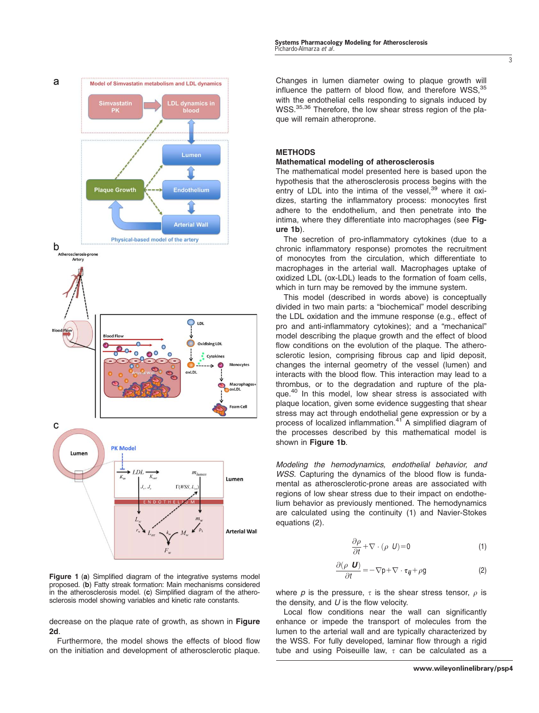

Figure 1 (a) Simplified diagram of the integrative systems model proposed. (b) Fatty streak formation: Main mechanisms considered in the atherosclerosis model. (c) Simplified diagram of the atherosclerosis model showing variables and kinetic rate constants.

decrease on the plaque rate of growth, as shown in Figure 2d.

Furthermore, the model shows the effects of blood flow on the initiation and development of atherosclerotic plaque. Changes in lumen diameter owing to plaque growth will influence the pattern of blood flow, and therefore WSS.<sup>35</sup> with the endothelial cells responding to signals induced by WSS.<sup>35,36</sup> Therefore, the low shear stress region of the plaque will remain atheroprone.

# METHODS

#### Mathematical modeling of atherosclerosis

The mathematical model presented here is based upon the hypothesis that the atherosclerosis process begins with the entry of LDL into the intima of the vessel,<sup>39</sup> where it oxidizes, starting the inflammatory process: monocytes first adhere to the endothelium, and then penetrate into the intima, where they differentiate into macrophages (see Figure 1b).

The secretion of pro-inflammatory cytokines (due to a chronic inflammatory response) promotes the recruitment of monocytes from the circulation, which differentiate to macrophages in the arterial wall. Macrophages uptake of oxidized LDL (ox-LDL) leads to the formation of foam cells, which in turn may be removed by the immune system.

This model (described in words above) is conceptually divided in two main parts: a "biochemical" model describing the LDL oxidation and the immune response (e.g., effect of pro and anti-inflammatory cytokines); and a "mechanical" model describing the plaque growth and the effect of blood flow conditions on the evolution of the plaque. The atherosclerotic lesion, comprising fibrous cap and lipid deposit, changes the internal geometry of the vessel (lumen) and interacts with the blood flow. This interaction may lead to a thrombus, or to the degradation and rupture of the plaque.<sup>40</sup> In this model, low shear stress is associated with plaque location, given some evidence suggesting that shear stress may act through endothelial gene expression or by a process of localized inflammation.<sup>41</sup> A simplified diagram of the processes described by this mathematical model is shown in Figure 1b.

Modeling the hemodynamics, endothelial behavior, and WSS. Capturing the dynamics of the blood flow is fundamental as atherosclerotic-prone areas are associated with regions of low shear stress due to their impact on endothelium behavior as previously mentioned. The hemodynamics are calculated using the continuity (1) and Navier-Stokes equations (2).

$$
\frac{\partial \rho}{\partial t} + \nabla \cdot (\rho \ \ U) = 0 \tag{1}
$$

$$
\frac{\partial (\rho \mathbf{U})}{\partial t} = -\nabla p + \nabla \cdot \boldsymbol{\tau}_{ij} + \rho g \tag{2}
$$

where p is the pressure,  $\tau$  is the shear stress tensor,  $\rho$  is the density, and  $U$  is the flow velocity.

Local flow conditions near the wall can significantly enhance or impede the transport of molecules from the lumen to the arterial wall and are typically characterized by the WSS. For fully developed, laminar flow through a rigid tube and using Poiseuille law,  $\tau$  can be calculated as a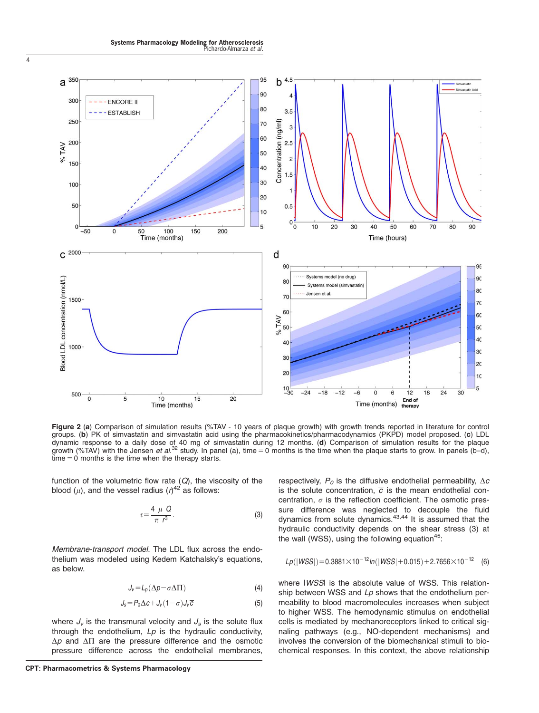Systems Pharmacology Modeling for Atherosclerosis<br>Pichardo-Almarza *et al*.

4



Figure 2 (a) Comparison of simulation results (%TAV - 10 years of plaque growth) with growth trends reported in literature for control groups. (b) PK of simvastatin and simvastatin acid using the pharmacokinetics/pharmacodynamics (PKPD) model proposed. (c) LDL dynamic response to a daily dose of 40 mg of simvastatin during 12 months. (d) Comparison of simulation results for the plaque growth (%TAV) with the Jensen *et al.*<sup>32</sup> study. In panel (a), time = 0 months is the time when the plaque starts to grow. In panels (b–d),  $time = 0$  months is the time when the therapy starts.

function of the volumetric flow rate  $(Q)$ , the viscosity of the blood ( $\mu$ ), and the vessel radius ( $\eta^{42}$  as follows:

$$
\tau = \frac{4 \mu Q}{\pi r^3}.
$$
 (3)

Membrane-transport model. The LDL flux across the endothelium was modeled using Kedem Katchalsky's equations, as below.

$$
J_{\nu} = L_{\rho} (\Delta \rho - \sigma \Delta \Pi) \tag{4}
$$

$$
J_s = P_0 \Delta c + J_v (1 - \sigma) J_v \overline{c}
$$
 (5)

where  $J_v$  is the transmural velocity and  $J_s$  is the solute flux through the endothelium,  $Lp$  is the hydraulic conductivity,  $\Delta p$  and  $\Delta \Pi$  are the pressure difference and the osmotic pressure difference across the endothelial membranes,

respectively,  $P_0$  is the diffusive endothelial permeability,  $\Delta c$ is the solute concentration,  $\overline{c}$  is the mean endothelial concentration,  $\sigma$  is the reflection coefficient. The osmotic pressure difference was neglected to decouple the fluid dynamics from solute dynamics.<sup>43,44</sup> It is assumed that the hydraulic conductivity depends on the shear stress (3) at the wall (WSS), using the following equation<sup>45</sup>:

$$
Lp(|WSS|) = 0.3881 \times 10^{-12} \ln(|WSS| + 0.015) + 2.7656 \times 10^{-12}
$$
 (6)

where IWSSI is the absolute value of WSS. This relationship between WSS and  $Lp$  shows that the endothelium permeability to blood macromolecules increases when subject to higher WSS. The hemodynamic stimulus on endothelial cells is mediated by mechanoreceptors linked to critical signaling pathways (e.g., NO-dependent mechanisms) and involves the conversion of the biomechanical stimuli to biochemical responses. In this context, the above relationship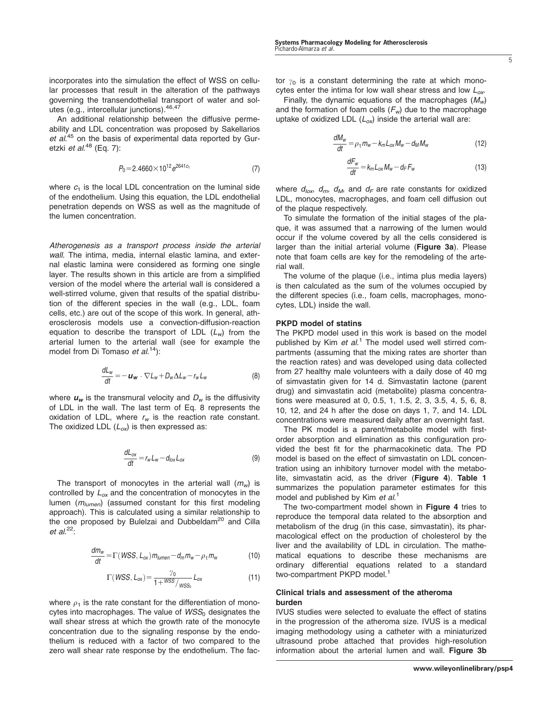incorporates into the simulation the effect of WSS on cellular processes that result in the alteration of the pathways governing the transendothelial transport of water and solutes (e.g., intercellular junctions).46,47

An additional relationship between the diffusive permeability and LDL concentration was proposed by Sakellarios et al.<sup>45</sup> on the basis of experimental data reported by Guretzki *et al*.<sup>48</sup> (Eq. 7):

$$
P_0 = 2.4660 \times 10^{12} e^{2641c_1} \tag{7}
$$

where  $c_1$  is the local LDL concentration on the luminal side of the endothelium. Using this equation, the LDL endothelial penetration depends on WSS as well as the magnitude of the lumen concentration.

Atherogenesis as a transport process inside the arterial wall. The intima, media, internal elastic lamina, and external elastic lamina were considered as forming one single layer. The results shown in this article are from a simplified version of the model where the arterial wall is considered a well-stirred volume, given that results of the spatial distribution of the different species in the wall (e.g., LDL, foam cells, etc.) are out of the scope of this work. In general, atherosclerosis models use a convection-diffusion-reaction equation to describe the transport of LDL  $(L_w)$  from the arterial lumen to the arterial wall (see for example the model from Di Tomaso et al.<sup>14</sup>):

$$
\frac{dL_w}{dt} = -\boldsymbol{u}_w \cdot \nabla L_w + D_w \Delta L_w - r_w L_w \tag{8}
$$

where  $u_w$  is the transmural velocity and  $D_w$  is the diffusivity of LDL in the wall. The last term of Eq. 8 represents the oxidation of LDL, where  $r_w$  is the reaction rate constant. The oxidized LDL  $(L_{ox})$  is then expressed as:

$$
\frac{dL_{ox}}{dt} = r_w L_w - d_{lox} L_{ox} \tag{9}
$$

The transport of monocytes in the arterial wall  $(m_w)$  is controlled by  $L_{ox}$  and the concentration of monocytes in the lumen  $(m_{lumen})$  (assumed constant for this first modeling approach). This is calculated using a similar relationship to the one proposed by Bulelzai and Dubbeldam<sup>20</sup> and Cilla et al.<sup>22</sup>:

$$
\frac{dm_w}{dt} = \Gamma(WSS, L_{ox}) m_{lumen} - d_m m_w - \rho_1 m_w \tag{10}
$$

$$
\Gamma(WSS, L_{ox}) = \frac{\gamma_0}{1 + WSS/\text{WSS}_0} L_{ox}
$$
\n(11)

where  $\rho_1$  is the rate constant for the differentiation of monocytes into macrophages. The value of  $WSS<sub>0</sub>$  designates the wall shear stress at which the growth rate of the monocyte concentration due to the signaling response by the endothelium is reduced with a factor of two compared to the zero wall shear rate response by the endothelium. The factor  $y_0$  is a constant determining the rate at which monocytes enter the intima for low wall shear stress and low  $L_{ox}$ .

Finally, the dynamic equations of the macrophages  $(M_w)$ and the formation of foam cells  $(F_w)$  due to the macrophage uptake of oxidized LDL  $(L_{ox})$  inside the arterial wall are:

$$
\frac{dM_w}{dt} = \rho_1 m_w - k_m L_{ox} M_w - d_M M_w \tag{12}
$$

$$
\frac{dF_w}{dt} = k_m L_{ox} M_w - d_F F_w \tag{13}
$$

where  $d_{\text{lox}}$ ,  $d_{\text{m}}$ ,  $d_{\text{M}}$ , and  $d_{\text{F}}$  are rate constants for oxidized LDL, monocytes, macrophages, and foam cell diffusion out of the plaque respectively.

To simulate the formation of the initial stages of the plaque, it was assumed that a narrowing of the lumen would occur if the volume covered by all the cells considered is larger than the initial arterial volume (Figure 3a). Please note that foam cells are key for the remodeling of the arterial wall.

The volume of the plaque (i.e., intima plus media layers) is then calculated as the sum of the volumes occupied by the different species (i.e., foam cells, macrophages, monocytes, LDL) inside the wall.

#### PKPD model of statins

The PKPD model used in this work is based on the model published by Kim et al.<sup>1</sup> The model used well stirred compartments (assuming that the mixing rates are shorter than the reaction rates) and was developed using data collected from 27 healthy male volunteers with a daily dose of 40 mg of simvastatin given for 14 d. Simvastatin lactone (parent drug) and simvastatin acid (metabolite) plasma concentrations were measured at 0, 0.5, 1, 1.5, 2, 3, 3.5, 4, 5, 6, 8, 10, 12, and 24 h after the dose on days 1, 7, and 14. LDL concentrations were measured daily after an overnight fast.

The PK model is a parent/metabolite model with firstorder absorption and elimination as this configuration provided the best fit for the pharmacokinetic data. The PD model is based on the effect of simvastatin on LDL concentration using an inhibitory turnover model with the metabolite, simvastatin acid, as the driver (Figure 4). Table 1 summarizes the population parameter estimates for this model and published by Kim et al.<sup>1</sup>

The two-compartment model shown in Figure 4 tries to reproduce the temporal data related to the absorption and metabolism of the drug (in this case, simvastatin), its pharmacological effect on the production of cholesterol by the liver and the availability of LDL in circulation. The mathematical equations to describe these mechanisms are ordinary differential equations related to a standard two-compartment PKPD model.<sup>1</sup>

#### Clinical trials and assessment of the atheroma burden

IVUS studies were selected to evaluate the effect of statins in the progression of the atheroma size. IVUS is a medical imaging methodology using a catheter with a miniaturized ultrasound probe attached that provides high-resolution information about the arterial lumen and wall. Figure 3b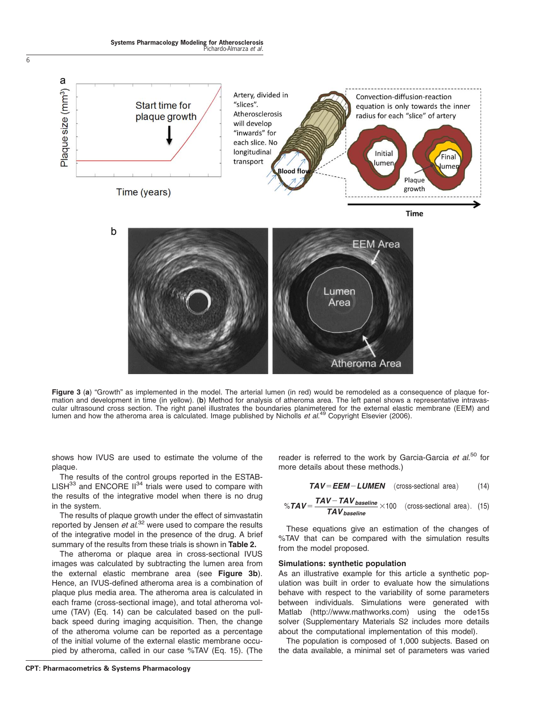

Figure 3 (a) "Growth" as implemented in the model. The arterial lumen (in red) would be remodeled as a consequence of plaque formation and development in time (in yellow). (b) Method for analysis of atheroma area. The left panel shows a representative intravascular ultrasound cross section. The right panel illustrates the boundaries planimetered for the external elastic membrane (EEM) and lumen and how the atheroma area is calculated. Image published by Nicholls et al.<sup>49</sup> Copyright Elsevier (2006).

shows how IVUS are used to estimate the volume of the plaque.

The results of the control groups reported in the ESTAB- $LISH^{33}$  and ENCORE  $II^{34}$  trials were used to compare with the results of the integrative model when there is no drug in the system.

The results of plaque growth under the effect of simvastatin reported by Jensen et al.<sup>32</sup> were used to compare the results of the integrative model in the presence of the drug. A brief summary of the results from these trials is shown in Table 2.

The atheroma or plaque area in cross-sectional IVUS images was calculated by subtracting the lumen area from the external elastic membrane area (see Figure 3b). Hence, an IVUS-defined atheroma area is a combination of plaque plus media area. The atheroma area is calculated in each frame (cross-sectional image), and total atheroma volume (TAV) (Eq. 14) can be calculated based on the pullback speed during imaging acquisition. Then, the change of the atheroma volume can be reported as a percentage of the initial volume of the external elastic membrane occupied by atheroma, called in our case %TAV (Eq. 15). (The

reader is referred to the work by Garcia-Garcia et al.<sup>50</sup> for more details about these methods.)

$$
TAV = EEM - LUMEN \quad \text{(cross-sectional area)} \tag{14}
$$

$$
\% \text{TAV} = \frac{\text{TAV} - \text{TAV}^{\text{baseline}}}{\text{TAV}^{\text{baseline}}} \times 100 \quad \text{(cross-sectional area)}. \quad (15)
$$

These equations give an estimation of the changes of %TAV that can be compared with the simulation results from the model proposed.

#### Simulations: synthetic population

As an illustrative example for this article a synthetic population was built in order to evaluate how the simulations behave with respect to the variability of some parameters between individuals. Simulations were generated with Matlab [\(http://www.mathworks.com](http://www.mathworks.com)) using the ode15s solver (Supplementary Materials S2 includes more details about the computational implementation of this model).

The population is composed of 1,000 subjects. Based on the data available, a minimal set of parameters was varied

6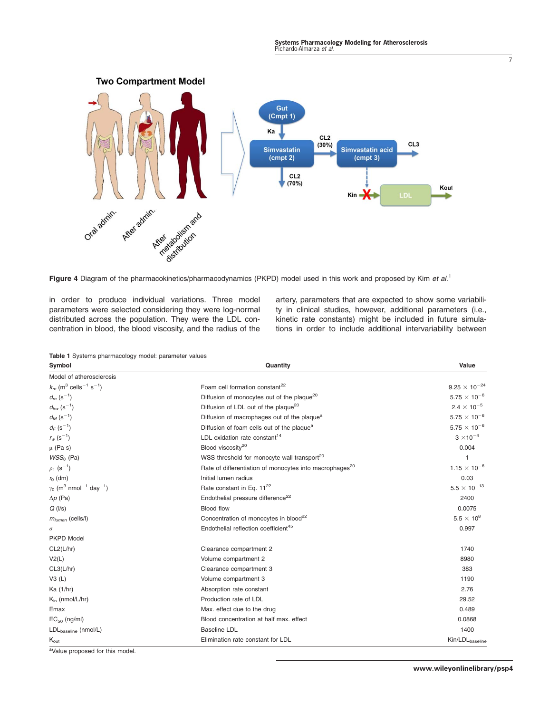

Figure 4 Diagram of the pharmacokinetics/pharmacodynamics (PKPD) model used in this work and proposed by Kim et al.<sup>1</sup>

in order to produce individual variations. Three model parameters were selected considering they were log-normal distributed across the population. They were the LDL concentration in blood, the blood viscosity, and the radius of the artery, parameters that are expected to show some variability in clinical studies, however, additional parameters (i.e., kinetic rate constants) might be included in future simulations in order to include additional intervariability between

Table 1 Systems pharmacology model: parameter values

| $5000000$ $P10000000000$<br>Symbol                                | Quantity                                                            | Value                       |
|-------------------------------------------------------------------|---------------------------------------------------------------------|-----------------------------|
| Model of atherosclerosis                                          |                                                                     |                             |
| $k_m$ (m <sup>3</sup> cells <sup>-1</sup> s <sup>-1</sup> )       | Foam cell formation constant <sup>22</sup>                          | $9.25 \times 10^{-24}$      |
| $d_m$ (s <sup>-1</sup> )                                          | Diffusion of monocytes out of the plaque <sup>20</sup>              | $5.75\times10^{-6}$         |
| $d_{\text{lox}}$ (s <sup>-1</sup> )                               | Diffusion of LDL out of the plaque <sup>20</sup>                    | $2.4\times10^{-5}$          |
| $d_M$ (s <sup>-1</sup> )                                          | Diffusion of macrophages out of the plaque <sup>a</sup>             | $5.75\times10^{-6}$         |
| $d_F (s^{-1})$                                                    | Diffusion of foam cells out of the plaque <sup>a</sup>              | $5.75 \times 10^{-6}$       |
| $r_{w}$ (s <sup>-1</sup> )                                        | LDL oxidation rate constant <sup>14</sup>                           | $3 \times 10^{-4}$          |
| $\mu$ (Pa s)                                                      | Blood viscosity <sup>20</sup>                                       | 0.004                       |
| $WSS0$ (Pa)                                                       | WSS threshold for monocyte wall transport <sup>20</sup>             |                             |
| $\rho_1$ (s <sup>-1</sup> )                                       | Rate of differentiation of monocytes into macrophages <sup>20</sup> | $1.15 \times 10^{-6}$       |
| $r_0$ (dm)                                                        | Initial lumen radius                                                | 0.03                        |
| $\gamma_0$ (m <sup>3</sup> nmol <sup>-1</sup> day <sup>-1</sup> ) | Rate constant in Eq. 11 <sup>22</sup>                               | $5.5 \times 10^{-13}$       |
| $\Delta p$ (Pa)                                                   | Endothelial pressure difference <sup>22</sup>                       | 2400                        |
| $Q$ ( $\vert$ /s)                                                 | Blood flow                                                          | 0.0075                      |
| $m_{lumen}$ (cells/l)                                             | Concentration of monocytes in blood <sup>22</sup>                   | $5.5 \times 10^{8}$         |
| $\sigma$                                                          | Endothelial reflection coefficient <sup>45</sup>                    | 0.997                       |
| <b>PKPD Model</b>                                                 |                                                                     |                             |
| CL2(L/hr)                                                         | Clearance compartment 2                                             | 1740                        |
| V2(L)                                                             | Volume compartment 2                                                | 8980                        |
| CL3(L/hr)                                                         | Clearance compartment 3                                             | 383                         |
| V3(L)                                                             | Volume compartment 3                                                | 1190                        |
| Ka (1/hr)                                                         | Absorption rate constant                                            | 2.76                        |
| $K_{\text{in}}$ (nmol/L/hr)                                       | Production rate of LDL                                              | 29.52                       |
| Emax                                                              | Max. effect due to the drug                                         | 0.489                       |
| $EC_{50}$ (ng/ml)                                                 | Blood concentration at half max. effect                             | 0.0868                      |
| LDL <sub>baseline</sub> (nmol/L)                                  | <b>Baseline LDL</b>                                                 | 1400                        |
| $K_{\text{out}}$                                                  | Elimination rate constant for LDL                                   | Kin/LDL <sub>baseline</sub> |

<sup>a</sup>Value proposed for this model.

7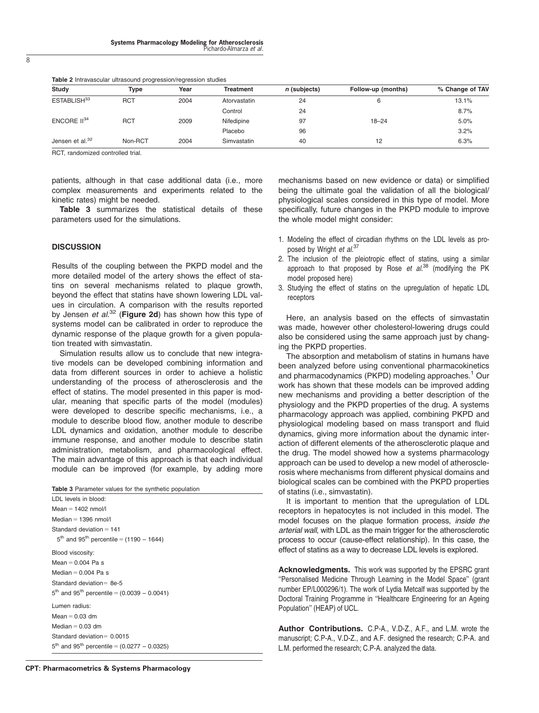| <b>Study</b>                | Type       | Year | <b>Treatment</b> | n (subjects) | Follow-up (months) | % Change of TAV |
|-----------------------------|------------|------|------------------|--------------|--------------------|-----------------|
| ESTABLISH <sup>33</sup>     | <b>RCT</b> | 2004 | Atorvastatin     | 24           | 6                  | 13.1%           |
|                             |            |      | Control          | 24           |                    | 8.7%            |
| ENCORE $II^{34}$            | <b>RCT</b> | 2009 | Nifedipine       | 97           | $18 - 24$          | 5.0%            |
|                             |            |      | Placebo          | 96           |                    | 3.2%            |
| Jensen et al. <sup>32</sup> | Non-RCT    | 2004 | Simvastatin      | 40           | 12                 | 6.3%            |

Table 2 Intravascular ultrasound progression/regression studies

RCT, randomized controlled trial.

patients, although in that case additional data (i.e., more complex measurements and experiments related to the kinetic rates) might be needed.

Table 3 summarizes the statistical details of these parameters used for the simulations.

#### **DISCUSSION**

Results of the coupling between the PKPD model and the more detailed model of the artery shows the effect of statins on several mechanisms related to plaque growth, beyond the effect that statins have shown lowering LDL values in circulation. A comparison with the results reported by Jensen *et al.<sup>32</sup>* (Figure 2d) has shown how this type of systems model can be calibrated in order to reproduce the dynamic response of the plaque growth for a given population treated with simvastatin.

Simulation results allow us to conclude that new integrative models can be developed combining information and data from different sources in order to achieve a holistic understanding of the process of atherosclerosis and the effect of statins. The model presented in this paper is modular, meaning that specific parts of the model (modules) were developed to describe specific mechanisms, i.e., a module to describe blood flow, another module to describe LDL dynamics and oxidation, another module to describe immune response, and another module to describe statin administration, metabolism, and pharmacological effect. The main advantage of this approach is that each individual module can be improved (for example, by adding more

| <b>Table 3</b> Parameter values for the synthetic population        |  |  |  |  |
|---------------------------------------------------------------------|--|--|--|--|
| LDL levels in blood:                                                |  |  |  |  |
| Mean $= 1402$ nmol/l                                                |  |  |  |  |
| Median $=$ 1396 nmol/l                                              |  |  |  |  |
| Standard deviation $= 141$                                          |  |  |  |  |
| $5^{th}$ and 95 <sup>th</sup> percentile = (1190 - 1644)            |  |  |  |  |
| Blood viscosity:                                                    |  |  |  |  |
| Mean $= 0.004$ Pa s                                                 |  |  |  |  |
| Median $= 0.004$ Pa s                                               |  |  |  |  |
| Standard deviation = 8e-5                                           |  |  |  |  |
| $5th$ and 95 <sup>th</sup> percentile = (0.0039 – 0.0041)           |  |  |  |  |
| Lumen radius:                                                       |  |  |  |  |
| Mean $= 0.03$ dm                                                    |  |  |  |  |
| Median $= 0.03$ dm                                                  |  |  |  |  |
| Standard deviation = $0.0015$                                       |  |  |  |  |
| $5^{\text{th}}$ and 95 <sup>th</sup> percentile = (0.0277 – 0.0325) |  |  |  |  |

CPT: Pharmacometrics & Systems Pharmacology

mechanisms based on new evidence or data) or simplified being the ultimate goal the validation of all the biological/ physiological scales considered in this type of model. More specifically, future changes in the PKPD module to improve the whole model might consider:

- 1. Modeling the effect of circadian rhythms on the LDL levels as proposed by Wright et al.<sup>37</sup>
- 2. The inclusion of the pleiotropic effect of statins, using a similar approach to that proposed by Rose et  $al^{38}$  (modifying the PK model proposed here)
- 3. Studying the effect of statins on the upregulation of hepatic LDL receptors

Here, an analysis based on the effects of simvastatin was made, however other cholesterol-lowering drugs could also be considered using the same approach just by changing the PKPD properties.

The absorption and metabolism of statins in humans have been analyzed before using conventional pharmacokinetics and pharmacodynamics (PKPD) modeling approaches.<sup>1</sup> Our work has shown that these models can be improved adding new mechanisms and providing a better description of the physiology and the PKPD properties of the drug. A systems pharmacology approach was applied, combining PKPD and physiological modeling based on mass transport and fluid dynamics, giving more information about the dynamic interaction of different elements of the atherosclerotic plaque and the drug. The model showed how a systems pharmacology approach can be used to develop a new model of atherosclerosis where mechanisms from different physical domains and biological scales can be combined with the PKPD properties of statins (i.e., simvastatin).

It is important to mention that the upregulation of LDL receptors in hepatocytes is not included in this model. The model focuses on the plaque formation process, inside the arterial wall, with LDL as the main trigger for the atherosclerotic process to occur (cause-effect relationship). In this case, the effect of statins as a way to decrease LDL levels is explored.

Acknowledgments. This work was supported by the EPSRC grant ''Personalised Medicine Through Learning in the Model Space'' (grant number EP/L000296/1). The work of Lydia Metcalf was supported by the Doctoral Training Programme in ''Healthcare Engineering for an Ageing Population'' (HEAP) of UCL.

Author Contributions. C.P-A., V.D-Z., A.F., and L.M. wrote the manuscript; C.P-A., V.D-Z., and A.F. designed the research; C.P-A. and L.M. performed the research; C.P-A. analyzed the data.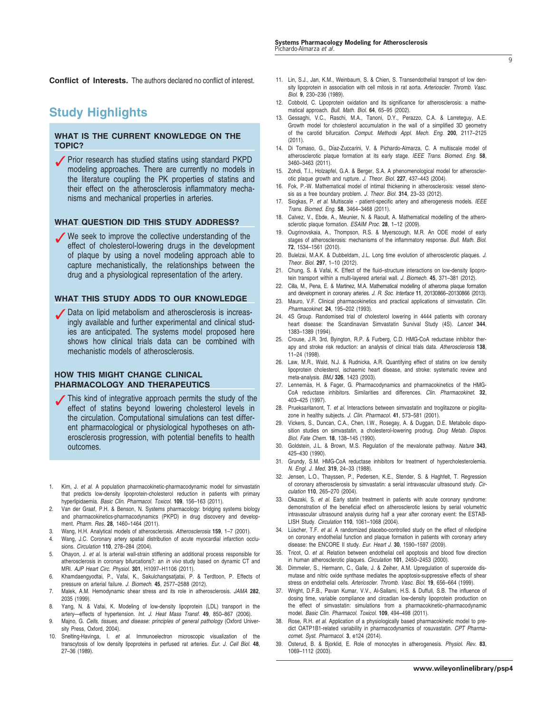Conflict of Interests. The authors declared no conflict of interest.

# Study Highlights

### WHAT IS THE CURRENT KNOWLEDGE ON THE TOPIC?

● Prior research has studied statins using standard PKPD modeling approaches. There are currently no models in the literature coupling the PK properties of statins and their effect on the atherosclerosis inflammatory mechanisms and mechanical properties in arteries.

#### WHAT QUESTION DID THIS STUDY ADDRESS?

✓ We seek to improve the collective understanding of the effect of cholesterol-lowering drugs in the development of plaque by using a novel modeling approach able to capture mechanistically, the relationships between the drug and a physiological representation of the artery.

#### WHAT THIS STUDY ADDS TO OUR KNOWLEDGE

● Data on lipid metabolism and atherosclerosis is increasingly available and further experimental and clinical studies are anticipated. The systems model proposed here shows how clinical trials data can be combined with mechanistic models of atherosclerosis.

#### HOW THIS MIGHT CHANGE CLINICAL PHARMACOLOGY AND THERAPEUTICS

- ✓This kind of integrative approach permits the study of the effect of statins beyond lowering cholesterol levels in the circulation. Computational simulations can test different pharmacological or physiological hypotheses on atherosclerosis progression, with potential benefits to health outcomes.
- 1. Kim, J. et al. A population pharmacokinetic-pharmacodynamic model for simvastatin that predicts low-density lipoprotein-cholesterol reduction in patients with primary hyperlipidaemia. Basic Clin. Pharmacol. Toxicol. 109, 156-163 (2011).
- 2. Van der Graaf, P.H. & Benson, N. Systems pharmacology: bridging systems biology and pharmacokinetics-pharmacodynamics (PKPD) in drug discovery and development. Pharm. Res. 28, 1460–1464 (2011).
- 3. Wang, H.H. Analytical models of atherosclerosis. Atherosclerosis 159, 1–7 (2001).
- Wang, J.C. Coronary artery spatial distribution of acute myocardial infarction occlusions. Circulation 110, 278–284 (2004).
- Ohayon, J. et al. Is arterial wall-strain stiffening an additional process responsible for atherosclerosis in coronary bifurcations?: an in vivo study based on dynamic CT and MRI. AJP Heart Circ. Physiol. 301, H1097–H1106 (2011).
- 6. Khamdaengyodtai, P., Vafai, K., Sakulchangsatjatai, P. & Terdtoon, P. Effects of pressure on arterial failure. J. Biomech. 45, 2577–2588 (2012).
- 7. Malek, A.M. Hemodynamic shear stress and its role in atherosclerosis. JAMA 282, 2035 (1999).
- 8. Yang, N. & Vafai, K. Modeling of low-density lipoprotein (LDL) transport in the artery—effects of hypertension. Int. J. Heat Mass Transf. 49, 850–867 (2006).
- 9. Majno, G. Cells, tissues, and disease: principles of general pathology (Oxford University Press, Oxford, 2004).
- 10. Snelting-Havinga, I. et al. Immunoelectron microscopic visualization of the transcytosis of low density lipoproteins in perfused rat arteries. Eur. J. Cell Biol. 48, 27–36 (1989).
- 11. Lin, S.J., Jan, K.M., Weinbaum, S. & Chien, S. Transendothelial transport of low density lipoprotein in association with cell mitosis in rat aorta. Arterioscler. Thromb. Vasc. Biol. 9, 230–236 (1989).
- 12. Cobbold, C. Lipoprotein oxidation and its significance for atherosclerosis: a mathematical approach. Bull. Math. Biol. 64, 65–95 (2002).
- 13. Gessaghi, V.C., Raschi, M.A., Tanoni, D.Y., Perazzo, C.A. & Larreteguy, A.E. Growth model for cholesterol accumulation in the wall of a simplified 3D geometry of the carotid bifurcation. Comput. Methods Appl. Mech. Eng. 200, 2117–2125  $(2011)$
- 14. Di Tomaso, G., Diaz-Zuccarini, V. & Pichardo-Almarza, C. A multiscale model of atherosclerotic plaque formation at its early stage. IEEE Trans. Biomed. Eng. 58, 3460–3463 (2011).
- 15. Zohdi, T.I., Holzapfel, G.A. & Berger, S.A. A phenomenological model for atherosclerotic plaque growth and rupture. J. Theor. Biol. 227, 437–443 (2004).
- 16. Fok, P.-W. Mathematical model of intimal thickening in atherosclerosis: vessel stenosis as a free boundary problem. J. Theor. Biol. 314, 23–33 (2012).
- 17. Siogkas, P. et al. Multiscale patient-specific artery and atherogenesis models. IEEE Trans. Biomed. Eng. 58, 3464–3468 (2011).
- 18. Calvez, V., Ebde, A., Meunier, N. & Raoult, A. Mathematical modelling of the atherosclerotic plaque formation. ESAIM Proc. 28, 1-12 (2009).
- 19. Ougrinovskaia, A., Thompson, R.S. & Myerscough, M.R. An ODE model of early stages of atherosclerosis: mechanisms of the inflammatory response. Bull. Math. Biol. 72, 1534–1561 (2010).
- 20. Bulelzai, M.A.K. & Dubbeldam, J.L. Long time evolution of atherosclerotic plaques. J. Theor. Biol. 297, 1–10 (2012).
- 21. Chung, S. & Vafai, K. Effect of the fluid–structure interactions on low-density lipoprotein transport within a multi-layered arterial wall. J. Biomech. 45, 371–381 (2012).
- 22. Cilla, M., Pena, E. & Martinez, M.A. Mathematical modelling of atheroma plaque formation and development in coronary arteries. J. R. Soc. Interface 11, 20130866–20130866 (2013).
- 23. Mauro, V.F. Clinical pharmacokinetics and practical applications of simvastatin. Clin. Pharmacokinet. 24, 195–202 (1993).
- 24. 4S Group. Randomised trial of cholesterol lowering in 4444 patients with coronary heart disease: the Scandinavian Simvastatin Survival Study (4S). Lancet 344, 1383–1389 (1994).
- 25. Crouse, J.R. 3rd, Byington, R.P. & Furberg, C.D. HMG-CoA reductase inhibitor therapy and stroke risk reduction: an analysis of clinical trials data. Atherosclerosis 138, 11–24 (1998).
- 26. Law, M.R., Wald, N.J. & Rudnicka, A.R. Quantifying effect of statins on low density lipoprotein cholesterol, ischaemic heart disease, and stroke: systematic review and meta-analysis. BMJ 326, 1423 (2003).
- 27. Lennernäs, H. & Fager, G. Pharmacodynamics and pharmacokinetics of the HMG-CoA reductase inhibitors. Similarities and differences. Clin. Pharmacokinet. 32. 403–425 (1997).
- 28. Prueksaritanont, T. et al. Interactions between simvastatin and troglitazone or pioglitazone in healthy subjects. J. Clin. Pharmacol. 41, 573-581 (2001).
- 29. Vickers, S., Duncan, C.A., Chen, I.W., Rosegay, A. & Duggan, D.E. Metabolic disposition studies on simvastatin, a cholesterol-lowering prodrug. Drug Metab. Dispos. Biol. Fate Chem. 18, 138–145 (1990).
- 30. Goldstein, J.L. & Brown, M.S. Regulation of the mevalonate pathway. Nature 343, 425–430 (1990).
- 31. Grundy, S.M. HMG-CoA reductase inhibitors for treatment of hypercholesterolemia. N. Engl. J. Med. 319, 24–33 (1988).
- 32. Jensen, L.O., Thayssen, P., Pedersen, K.E., Stender, S. & Haghfelt, T. Regression of coronary atherosclerosis by simvastatin: a serial intravascular ultrasound study. Circulation 110, 265–270 (2004).
- 33. Okazaki, S. et al. Early statin treatment in patients with acute coronary syndrome: demonstration of the beneficial effect on atherosclerotic lesions by serial volumetric intravascular ultrasound analysis during half a year after coronary event: the ESTAB-LISH Study. Circulation 110, 1061–1068 (2004).
- 34. Lüscher, T.F. et al. A randomized placebo-controlled study on the effect of nifedipine on coronary endothelial function and plaque formation in patients with coronary artery disease: the ENCORE II study. Eur. Heart J. 30, 1590–1597 (2009).
- 35. Tricot, O. et al. Relation between endothelial cell apoptosis and blood flow direction in human atherosclerotic plaques. Circulation 101, 2450-2453 (2000).
- 36. Dimmeler, S., Hermann, C., Galle, J. & Zeiher, A.M. Upregulation of superoxide dismutase and nitric oxide synthase mediates the apoptosis-suppressive effects of shear stress on endothelial cells. Arterioscler. Thromb. Vasc. Biol. 19, 656–664 (1999).
- 37. Wright, D.F.B., Pavan Kumar, V.V., Al-Sallami, H.S. & Duffull, S.B. The influence of dosing time, variable compliance and circadian low-density lipoprotein production on the effect of simvastatin: simulations from a pharmacokinetic–pharmacodynamic model. Basic Clin. Pharmacol. Toxicol. 109, 494–498 (2011).
- 38. Rose, R.H. et al. Application of a physiologically based pharmacokinetic model to predict OATP1B1-related variability in pharmacodynamics of rosuvastatin. CPT Pharmacomet. Syst. Pharmacol. 3, e124 (2014).
- 39. Osterud, B. & Bjorklid, E. Role of monocytes in atherogenesis. Physiol. Rev. 83, 1069–1112 (2003).